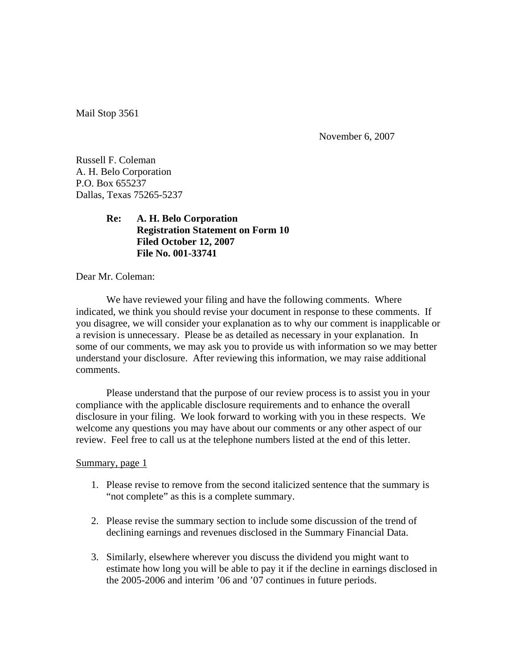Mail Stop 3561

November 6, 2007

Russell F. Coleman A. H. Belo Corporation P.O. Box 655237 Dallas, Texas 75265-5237

# **Re: A. H. Belo Corporation Registration Statement on Form 10 Filed October 12, 2007 File No. 001-33741**

Dear Mr. Coleman:

 We have reviewed your filing and have the following comments. Where indicated, we think you should revise your document in response to these comments. If you disagree, we will consider your explanation as to why our comment is inapplicable or a revision is unnecessary. Please be as detailed as necessary in your explanation. In some of our comments, we may ask you to provide us with information so we may better understand your disclosure. After reviewing this information, we may raise additional comments.

 Please understand that the purpose of our review process is to assist you in your compliance with the applicable disclosure requirements and to enhance the overall disclosure in your filing. We look forward to working with you in these respects. We welcome any questions you may have about our comments or any other aspect of our review. Feel free to call us at the telephone numbers listed at the end of this letter.

#### Summary, page 1

- 1. Please revise to remove from the second italicized sentence that the summary is "not complete" as this is a complete summary.
- 2. Please revise the summary section to include some discussion of the trend of declining earnings and revenues disclosed in the Summary Financial Data.
- 3. Similarly, elsewhere wherever you discuss the dividend you might want to estimate how long you will be able to pay it if the decline in earnings disclosed in the 2005-2006 and interim '06 and '07 continues in future periods.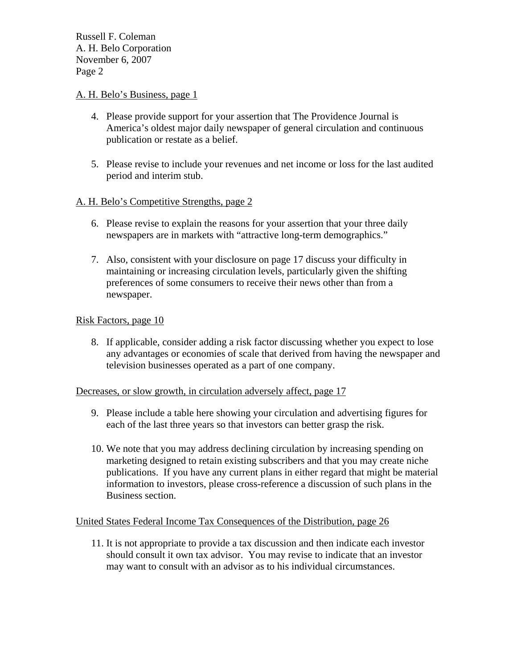# A. H. Belo's Business, page 1

- 4. Please provide support for your assertion that The Providence Journal is America's oldest major daily newspaper of general circulation and continuous publication or restate as a belief.
- 5. Please revise to include your revenues and net income or loss for the last audited period and interim stub.

# A. H. Belo's Competitive Strengths, page 2

- 6. Please revise to explain the reasons for your assertion that your three daily newspapers are in markets with "attractive long-term demographics."
- 7. Also, consistent with your disclosure on page 17 discuss your difficulty in maintaining or increasing circulation levels, particularly given the shifting preferences of some consumers to receive their news other than from a newspaper.

# Risk Factors, page 10

8. If applicable, consider adding a risk factor discussing whether you expect to lose any advantages or economies of scale that derived from having the newspaper and television businesses operated as a part of one company.

## Decreases, or slow growth, in circulation adversely affect, page 17

- 9. Please include a table here showing your circulation and advertising figures for each of the last three years so that investors can better grasp the risk.
- 10. We note that you may address declining circulation by increasing spending on marketing designed to retain existing subscribers and that you may create niche publications. If you have any current plans in either regard that might be material information to investors, please cross-reference a discussion of such plans in the Business section.

## United States Federal Income Tax Consequences of the Distribution, page 26

11. It is not appropriate to provide a tax discussion and then indicate each investor should consult it own tax advisor. You may revise to indicate that an investor may want to consult with an advisor as to his individual circumstances.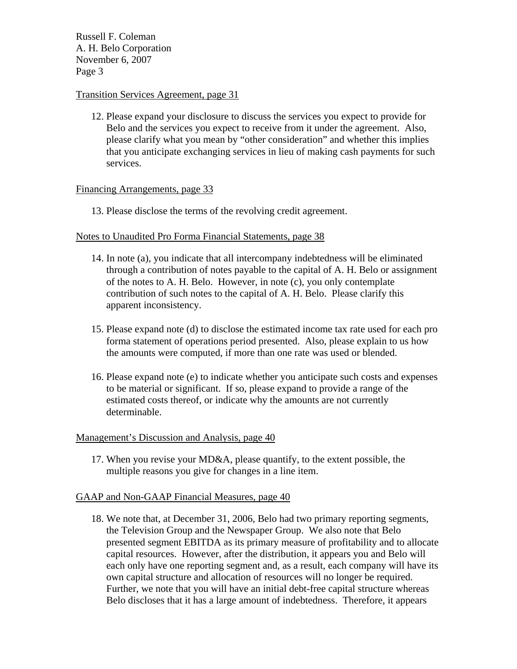# Transition Services Agreement, page 31

12. Please expand your disclosure to discuss the services you expect to provide for Belo and the services you expect to receive from it under the agreement. Also, please clarify what you mean by "other consideration" and whether this implies that you anticipate exchanging services in lieu of making cash payments for such services.

### Financing Arrangements, page 33

13. Please disclose the terms of the revolving credit agreement.

### Notes to Unaudited Pro Forma Financial Statements, page 38

- 14. In note (a), you indicate that all intercompany indebtedness will be eliminated through a contribution of notes payable to the capital of A. H. Belo or assignment of the notes to A. H. Belo. However, in note (c), you only contemplate contribution of such notes to the capital of A. H. Belo. Please clarify this apparent inconsistency.
- 15. Please expand note (d) to disclose the estimated income tax rate used for each pro forma statement of operations period presented. Also, please explain to us how the amounts were computed, if more than one rate was used or blended.
- 16. Please expand note (e) to indicate whether you anticipate such costs and expenses to be material or significant. If so, please expand to provide a range of the estimated costs thereof, or indicate why the amounts are not currently determinable.

#### Management's Discussion and Analysis, page 40

17. When you revise your MD&A, please quantify, to the extent possible, the multiple reasons you give for changes in a line item.

## GAAP and Non-GAAP Financial Measures, page 40

18. We note that, at December 31, 2006, Belo had two primary reporting segments, the Television Group and the Newspaper Group. We also note that Belo presented segment EBITDA as its primary measure of profitability and to allocate capital resources. However, after the distribution, it appears you and Belo will each only have one reporting segment and, as a result, each company will have its own capital structure and allocation of resources will no longer be required. Further, we note that you will have an initial debt-free capital structure whereas Belo discloses that it has a large amount of indebtedness. Therefore, it appears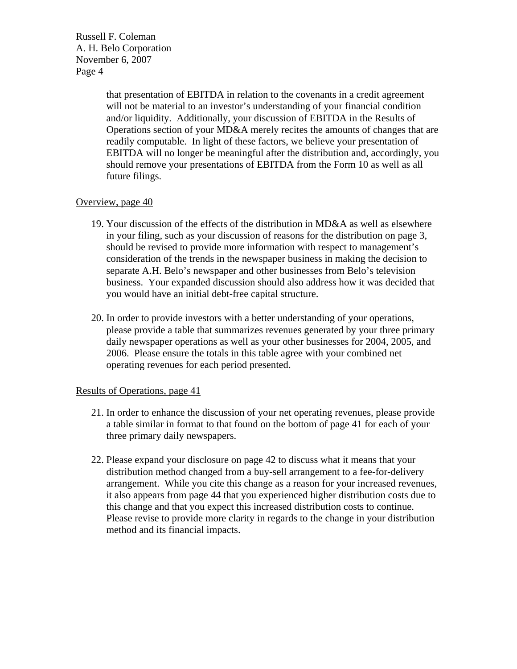> that presentation of EBITDA in relation to the covenants in a credit agreement will not be material to an investor's understanding of your financial condition and/or liquidity. Additionally, your discussion of EBITDA in the Results of Operations section of your MD&A merely recites the amounts of changes that are readily computable. In light of these factors, we believe your presentation of EBITDA will no longer be meaningful after the distribution and, accordingly, you should remove your presentations of EBITDA from the Form 10 as well as all future filings.

## Overview, page 40

- 19. Your discussion of the effects of the distribution in MD&A as well as elsewhere in your filing, such as your discussion of reasons for the distribution on page 3, should be revised to provide more information with respect to management's consideration of the trends in the newspaper business in making the decision to separate A.H. Belo's newspaper and other businesses from Belo's television business. Your expanded discussion should also address how it was decided that you would have an initial debt-free capital structure.
- 20. In order to provide investors with a better understanding of your operations, please provide a table that summarizes revenues generated by your three primary daily newspaper operations as well as your other businesses for 2004, 2005, and 2006. Please ensure the totals in this table agree with your combined net operating revenues for each period presented.

## Results of Operations, page 41

- 21. In order to enhance the discussion of your net operating revenues, please provide a table similar in format to that found on the bottom of page 41 for each of your three primary daily newspapers.
- 22. Please expand your disclosure on page 42 to discuss what it means that your distribution method changed from a buy-sell arrangement to a fee-for-delivery arrangement. While you cite this change as a reason for your increased revenues, it also appears from page 44 that you experienced higher distribution costs due to this change and that you expect this increased distribution costs to continue. Please revise to provide more clarity in regards to the change in your distribution method and its financial impacts.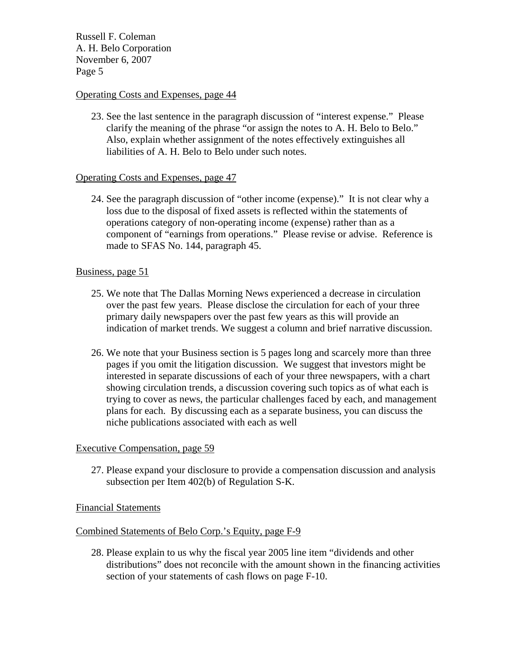# Operating Costs and Expenses, page 44

23. See the last sentence in the paragraph discussion of "interest expense." Please clarify the meaning of the phrase "or assign the notes to A. H. Belo to Belo." Also, explain whether assignment of the notes effectively extinguishes all liabilities of A. H. Belo to Belo under such notes.

### Operating Costs and Expenses, page 47

24. See the paragraph discussion of "other income (expense)." It is not clear why a loss due to the disposal of fixed assets is reflected within the statements of operations category of non-operating income (expense) rather than as a component of "earnings from operations." Please revise or advise. Reference is made to SFAS No. 144, paragraph 45.

### Business, page 51

- 25. We note that The Dallas Morning News experienced a decrease in circulation over the past few years. Please disclose the circulation for each of your three primary daily newspapers over the past few years as this will provide an indication of market trends. We suggest a column and brief narrative discussion.
- 26. We note that your Business section is 5 pages long and scarcely more than three pages if you omit the litigation discussion. We suggest that investors might be interested in separate discussions of each of your three newspapers, with a chart showing circulation trends, a discussion covering such topics as of what each is trying to cover as news, the particular challenges faced by each, and management plans for each. By discussing each as a separate business, you can discuss the niche publications associated with each as well

#### Executive Compensation, page 59

27. Please expand your disclosure to provide a compensation discussion and analysis subsection per Item 402(b) of Regulation S-K.

#### Financial Statements

### Combined Statements of Belo Corp.'s Equity, page F-9

28. Please explain to us why the fiscal year 2005 line item "dividends and other distributions" does not reconcile with the amount shown in the financing activities section of your statements of cash flows on page F-10.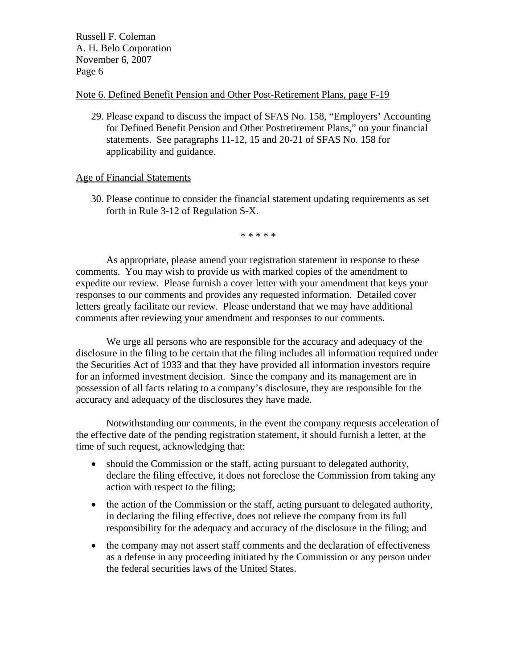## Note 6. Defined Benefit Pension and Other Post-Retirement Plans, page F-19

29. Please expand to discuss the impact of SFAS No. 158, "Employers' Accounting for Defined Benefit Pension and Other Postretirement Plans," on your financial statements. See paragraphs 11-12, 15 and 20-21 of SFAS No. 158 for applicability and guidance.

### Age of Financial Statements

30. Please continue to consider the financial statement updating requirements as set forth in Rule 3-12 of Regulation S-X.

\* \* \* \* \*

 As appropriate, please amend your registration statement in response to these comments. You may wish to provide us with marked copies of the amendment to expedite our review. Please furnish a cover letter with your amendment that keys your responses to our comments and provides any requested information. Detailed cover letters greatly facilitate our review. Please understand that we may have additional comments after reviewing your amendment and responses to our comments.

 We urge all persons who are responsible for the accuracy and adequacy of the disclosure in the filing to be certain that the filing includes all information required under the Securities Act of 1933 and that they have provided all information investors require for an informed investment decision. Since the company and its management are in possession of all facts relating to a company's disclosure, they are responsible for the accuracy and adequacy of the disclosures they have made.

 Notwithstanding our comments, in the event the company requests acceleration of the effective date of the pending registration statement, it should furnish a letter, at the time of such request, acknowledging that:

- should the Commission or the staff, acting pursuant to delegated authority, declare the filing effective, it does not foreclose the Commission from taking any action with respect to the filing;
- the action of the Commission or the staff, acting pursuant to delegated authority, in declaring the filing effective, does not relieve the company from its full responsibility for the adequacy and accuracy of the disclosure in the filing; and
- the company may not assert staff comments and the declaration of effectiveness as a defense in any proceeding initiated by the Commission or any person under the federal securities laws of the United States.